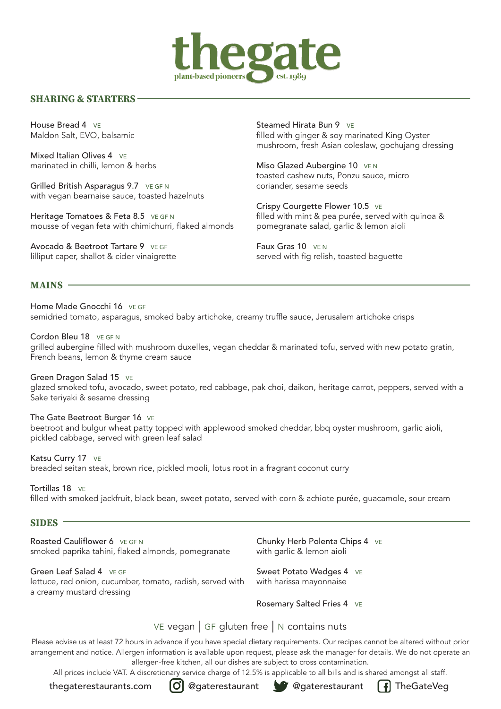

#### **SHARING & STARTERS**

House Bread 4 **VE** Maldon Salt, EVO, balsamic

Mixed Italian Olives 4 VE marinated in chilli, lemon & herbs

Grilled British Asparagus 9.7 VE GF N with vegan bearnaise sauce, toasted hazelnuts

Heritage Tomatoes & Feta 8.5 VE GF N mousse of vegan feta with chimichurri, flaked almonds

Avocado & Beetroot Tartare 9 VE GF lilliput caper, shallot & cider vinaigrette

Steamed Hirata Bun 9 VE filled with ginger & soy marinated King Oyster mushroom, fresh Asian coleslaw, gochujang dressing

Miso Glazed Aubergine 10 VEN toasted cashew nuts, Ponzu sauce, micro coriander, sesame seeds

Crispy Courgette Flower 10.5 VE filled with mint & pea pur**é**e, served with quinoa & pomegranate salad, garlic & lemon aioli

Faux Gras 10 VEN served with fig relish, toasted baguette

#### **MAINS**

Home Made Gnocchi 16 VE GF semidried tomato, asparagus, smoked baby artichoke, creamy truffle sauce, Jerusalem artichoke crisps

Cordon Bleu 18 VE GF N grilled aubergine filled with mushroom duxelles, vegan cheddar & marinated tofu, served with new potato gratin, French beans, lemon & thyme cream sauce

Green Dragon Salad 15 VE glazed smoked tofu, avocado, sweet potato, red cabbage, pak choi, daikon, heritage carrot, peppers, served with a Sake teriyaki & sesame dressing

The Gate Beetroot Burger 16 VE beetroot and bulgur wheat patty topped with applewood smoked cheddar, bbq oyster mushroom, garlic aioli, pickled cabbage, served with green leaf salad

Katsu Curry 17 VE breaded seitan steak, brown rice, pickled mooli, lotus root in a fragrant coconut curry

Tortillas 18 VE filled with smoked jackfruit, black bean, sweet potato, served with corn & achiote pur**é**e, guacamole, sour cream

#### **SIDES**

Roasted Cauliflower 6 VE GEN smoked paprika tahini, flaked almonds, pomegranate

Green Leaf Salad 4 VE GF lettuce, red onion, cucumber, tomato, radish, served with a creamy mustard dressing

Chunky Herb Polenta Chips 4 VE with garlic & lemon aioli

Sweet Potato Wedges 4 VE with harissa mayonnaise

Rosemary Salted Fries 4 VE

#### VE vegan  $\vert$  GF gluten free  $\vert$  N contains nuts

Please advise us at least 72 hours in advance if you have special dietary requirements. Our recipes cannot be altered without prior arrangement and notice. Allergen information is available upon request, please ask the manager for details. We do not operate an allergen-free kitchen, all our dishes are subject to cross contamination.

All prices include VAT. A discretionary service charge of 12.5% is applicable to all bills and is shared amongst all staff.

thegaterestaurants.com  $[O]$  @gaterestaurant  $[O]$  @gaterestaurant  $[f]$  TheGateVeg